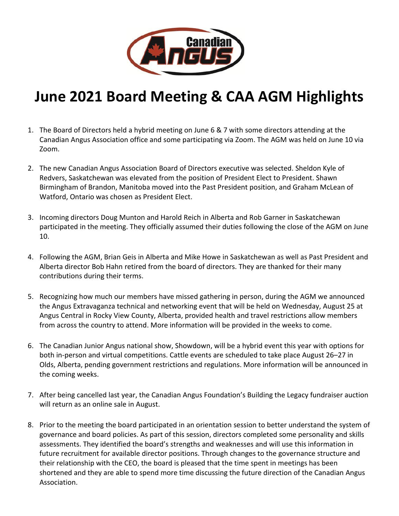

## **June 2021 Board Meeting & CAA AGM Highlights**

- 1. The Board of Directors held a hybrid meeting on June 6 & 7 with some directors attending at the Canadian Angus Association office and some participating via Zoom. The AGM was held on June 10 via Zoom.
- 2. The new Canadian Angus Association Board of Directors executive was selected. Sheldon Kyle of Redvers, Saskatchewan was elevated from the position of President Elect to President. Shawn Birmingham of Brandon, Manitoba moved into the Past President position, and Graham McLean of Watford, Ontario was chosen as President Elect.
- 3. Incoming directors Doug Munton and Harold Reich in Alberta and Rob Garner in Saskatchewan participated in the meeting. They officially assumed their duties following the close of the AGM on June 10.
- 4. Following the AGM, Brian Geis in Alberta and Mike Howe in Saskatchewan as well as Past President and Alberta director Bob Hahn retired from the board of directors. They are thanked for their many contributions during their terms.
- 5. Recognizing how much our members have missed gathering in person, during the AGM we announced the Angus Extravaganza technical and networking event that will be held on Wednesday, August 25 at Angus Central in Rocky View County, Alberta, provided health and travel restrictions allow members from across the country to attend. More information will be provided in the weeks to come.
- 6. The Canadian Junior Angus national show, Showdown, will be a hybrid event this year with options for both in-person and virtual competitions. Cattle events are scheduled to take place August 26–27 in Olds, Alberta, pending government restrictions and regulations. More information will be announced in the coming weeks.
- 7. After being cancelled last year, the Canadian Angus Foundation's Building the Legacy fundraiser auction will return as an online sale in August.
- 8. Prior to the meeting the board participated in an orientation session to better understand the system of governance and board policies. As part of this session, directors completed some personality and skills assessments. They identified the board's strengths and weaknesses and will use this information in future recruitment for available director positions. Through changes to the governance structure and their relationship with the CEO, the board is pleased that the time spent in meetings has been shortened and they are able to spend more time discussing the future direction of the Canadian Angus Association.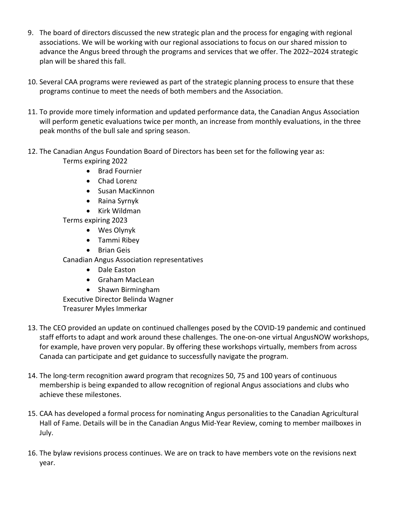- 9. The board of directors discussed the new strategic plan and the process for engaging with regional associations. We will be working with our regional associations to focus on our shared mission to advance the Angus breed through the programs and services that we offer. The 2022–2024 strategic plan will be shared this fall.
- 10. Several CAA programs were reviewed as part of the strategic planning process to ensure that these programs continue to meet the needs of both members and the Association.
- 11. To provide more timely information and updated performance data, the Canadian Angus Association will perform genetic evaluations twice per month, an increase from monthly evaluations, in the three peak months of the bull sale and spring season.
- 12. The Canadian Angus Foundation Board of Directors has been set for the following year as: Terms expiring 2022
	- Brad Fournier
	- Chad Lorenz
	- Susan MacKinnon
	- Raina Syrnyk
	- Kirk Wildman
	- Terms expiring 2023
		- Wes Olynyk
		- Tammi Ribey
		- Brian Geis

Canadian Angus Association representatives

- Dale Easton
- Graham MacLean
- Shawn Birmingham

Executive Director Belinda Wagner

Treasurer Myles Immerkar

- 13. The CEO provided an update on continued challenges posed by the COVID-19 pandemic and continued staff efforts to adapt and work around these challenges. The one-on-one virtual AngusNOW workshops, for example, have proven very popular. By offering these workshops virtually, members from across Canada can participate and get guidance to successfully navigate the program.
- 14. The long-term recognition award program that recognizes 50, 75 and 100 years of continuous membership is being expanded to allow recognition of regional Angus associations and clubs who achieve these milestones.
- 15. CAA has developed a formal process for nominating Angus personalities to the Canadian Agricultural Hall of Fame. Details will be in the Canadian Angus Mid-Year Review, coming to member mailboxes in July.
- 16. The bylaw revisions process continues. We are on track to have members vote on the revisions next year.